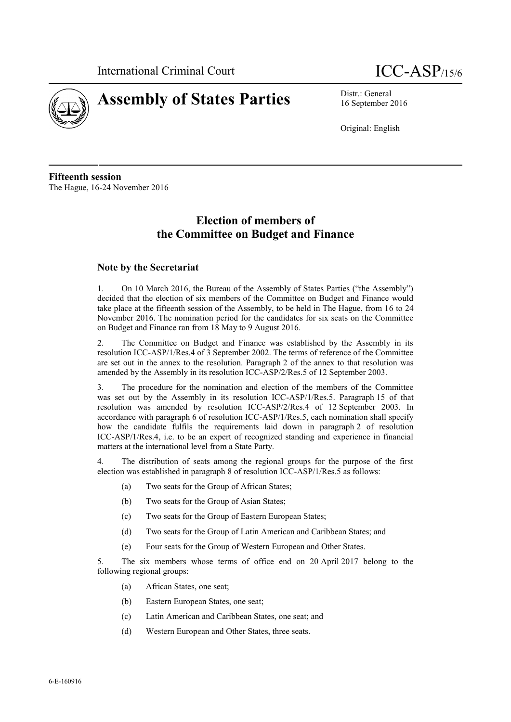



16 September 2016

Original: English

**Fifteenth session** The Hague, 16-24 November 2016

# **Election of members of the Committee on Budget and Finance**

# **Note by the Secretariat**

1. On 10 March 2016, the Bureau of the Assembly of States Parties ("the Assembly") decided that the election of six members of the Committee on Budget and Finance would take place at the fifteenth session of the Assembly, to be held in The Hague, from 16 to 24 November 2016. The nomination period for the candidates for six seats on the Committee on Budget and Finance ran from 18 May to 9 August 2016.

2. The Committee on Budget and Finance was established by the Assembly in its resolution ICC-ASP/1/Res.4 of 3 September 2002. The terms of reference of the Committee are set out in the annex to the resolution. Paragraph 2 of the annex to that resolution was amended by the Assembly in its resolution ICC-ASP/2/Res.5 of 12 September 2003.

3. The procedure for the nomination and election of the members of the Committee was set out by the Assembly in its resolution ICC-ASP/1/Res.5. Paragraph 15 of that resolution was amended by resolution ICC-ASP/2/Res.4 of 12 September 2003. In accordance with paragraph 6 of resolution ICC-ASP/1/Res.5, each nomination shall specify how the candidate fulfils the requirements laid down in paragraph 2 of resolution ICC-ASP/1/Res.4, i.e. to be an expert of recognized standing and experience in financial matters at the international level from a State Party.

4. The distribution of seats among the regional groups for the purpose of the first election was established in paragraph 8 of resolution ICC-ASP/1/Res.5 as follows:

- (a) Two seats for the Group of African States;
- (b) Two seats for the Group of Asian States;
- (c) Two seats for the Group of Eastern European States;
- (d) Two seats for the Group of Latin American and Caribbean States; and
- (e) Four seats for the Group of Western European and Other States.

5. The six members whose terms of office end on 20 April 2017 belong to the following regional groups:

- (a) African States, one seat;
- (b) Eastern European States, one seat;
- (c) Latin American and Caribbean States, one seat; and
- (d) Western European and Other States, three seats.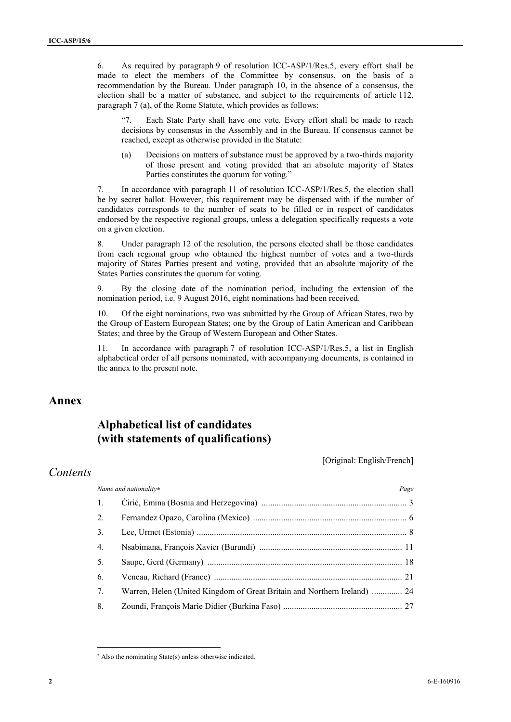6. As required by paragraph 9 of resolution ICC-ASP/1/Res.5, every effort shall be made to elect the members of the Committee by consensus, on the basis of a recommendation by the Bureau. Under paragraph 10, in the absence of a consensus, the election shall be a matter of substance, and subject to the requirements of article 112, paragraph 7 (a), of the Rome Statute, which provides as follows:

"7. Each State Party shall have one vote. Every effort shall be made to reach decisions by consensus in the Assembly and in the Bureau. If consensus cannot be reached, except as otherwise provided in the Statute:

(a) Decisions on matters of substance must be approved by a two-thirds majority of those present and voting provided that an absolute majority of States Parties constitutes the quorum for voting."

7. In accordance with paragraph 11 of resolution ICC-ASP/1/Res.5, the election shall be by secret ballot. However, this requirement may be dispensed with if the number of candidates corresponds to the number of seats to be filled or in respect of candidates endorsed by the respective regional groups, unless a delegation specifically requests a vote on a given election.

8. Under paragraph 12 of the resolution, the persons elected shall be those candidates from each regional group who obtained the highest number of votes and a two-thirds majority of States Parties present and voting, provided that an absolute majority of the States Parties constitutes the quorum for voting.

9. By the closing date of the nomination period, including the extension of the nomination period, i.e. 9 August 2016, eight nominations had been received.

10. Of the eight nominations, two was submitted by the Group of African States, two by the Group of Eastern European States; one by the Group of Latin American and Caribbean States; and three by the Group of Western European and Other States.

11. In accordance with paragraph 7 of resolution ICC-ASP/1/Res.5, a list in English alphabetical order of all persons nominated, with accompanying documents, is contained in the annex to the present note.

# **Annex**

# **Alphabetical list of candidates (with statements of qualifications)**

[Original: English/French]

# *Contents*

| Name and nationality*<br>Page |                                                                          |  |
|-------------------------------|--------------------------------------------------------------------------|--|
| 1.                            |                                                                          |  |
| 2.                            |                                                                          |  |
| 3.                            |                                                                          |  |
| 4.                            |                                                                          |  |
| 5.                            |                                                                          |  |
| 6.                            |                                                                          |  |
| 7.                            | Warren, Helen (United Kingdom of Great Britain and Northern Ireland)  24 |  |
| 8.                            |                                                                          |  |

Also the nominating State(s) unless otherwise indicated.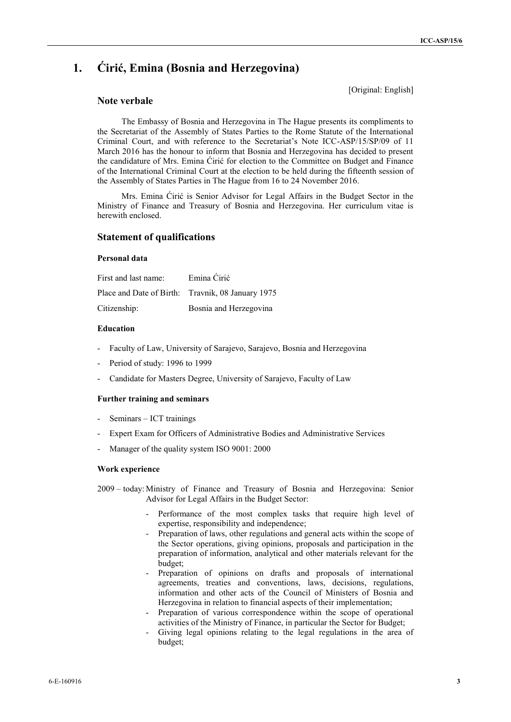[Original: English]

# **1. Ćirić, Emina (Bosnia and Herzegovina)**

# **Note verbale**

The Embassy of Bosnia and Herzegovina in The Hague presents its compliments to the Secretariat of the Assembly of States Parties to the Rome Statute of the International Criminal Court, and with reference to the Secretariat's Note ICC-ASP/15/SP/09 of 11 March 2016 has the honour to inform that Bosnia and Herzegovina has decided to present the candidature of Mrs. Emina Ćirić for election to the Committee on Budget and Finance of the International Criminal Court at the election to be held during the fifteenth session of the Assembly of States Parties in The Hague from 16 to 24 November 2016.

Mrs. Emina Ćirić is Senior Advisor for Legal Affairs in the Budget Sector in the Ministry of Finance and Treasury of Bosnia and Herzegovina. Her curriculum vitae is herewith enclosed.

# **Statement of qualifications**

## **Personal data**

| First and last name: | Emina Ćirić                                       |
|----------------------|---------------------------------------------------|
|                      | Place and Date of Birth: Travnik, 08 January 1975 |
| Citizenship:         | Bosnia and Herzegovina                            |

## **Education**

- Faculty of Law, University of Sarajevo, Sarajevo, Bosnia and Herzegovina
- Period of study: 1996 to 1999
- Candidate for Masters Degree, University of Sarajevo, Faculty of Law

## **Further training and seminars**

- Seminars ICT trainings
- Expert Exam for Officers of Administrative Bodies and Administrative Services
- Manager of the quality system ISO 9001: 2000

## **Work experience**

2009 – today: Ministry of Finance and Treasury of Bosnia and Herzegovina: Senior Advisor for Legal Affairs in the Budget Sector:

- Performance of the most complex tasks that require high level of expertise, responsibility and independence;
- Preparation of laws, other regulations and general acts within the scope of the Sector operations, giving opinions, proposals and participation in the preparation of information, analytical and other materials relevant for the budget;
- Preparation of opinions on drafts and proposals of international agreements, treaties and conventions, laws, decisions, regulations, information and other acts of the Council of Ministers of Bosnia and Herzegovina in relation to financial aspects of their implementation;
- Preparation of various correspondence within the scope of operational activities of the Ministry of Finance, in particular the Sector for Budget;
- Giving legal opinions relating to the legal regulations in the area of budget;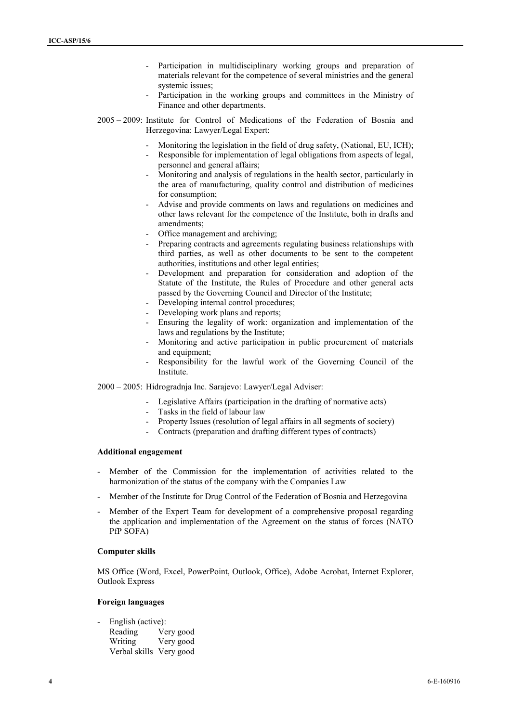- Participation in multidisciplinary working groups and preparation of materials relevant for the competence of several ministries and the general systemic issues;
- Participation in the working groups and committees in the Ministry of Finance and other departments.
- 2005 2009: Institute for Control of Medications of the Federation of Bosnia and Herzegovina: Lawyer/Legal Expert:
	- Monitoring the legislation in the field of drug safety, (National, EU, ICH);
	- Responsible for implementation of legal obligations from aspects of legal, personnel and general affairs;
	- Monitoring and analysis of regulations in the health sector, particularly in the area of manufacturing, quality control and distribution of medicines for consumption;
	- Advise and provide comments on laws and regulations on medicines and other laws relevant for the competence of the Institute, both in drafts and amendments;
	- Office management and archiving;
	- Preparing contracts and agreements regulating business relationships with third parties, as well as other documents to be sent to the competent authorities, institutions and other legal entities;
	- Development and preparation for consideration and adoption of the Statute of the Institute, the Rules of Procedure and other general acts passed by the Governing Council and Director of the Institute;
	- Developing internal control procedures;
	- Developing work plans and reports;
	- Ensuring the legality of work: organization and implementation of the laws and regulations by the Institute;
	- Monitoring and active participation in public procurement of materials and equipment;
	- Responsibility for the lawful work of the Governing Council of the Institute.

2000 – 2005: Hidrogradnja Inc. Sarajevo: Lawyer/Legal Adviser:

- Legislative Affairs (participation in the drafting of normative acts)
- Tasks in the field of labour law
- Property Issues (resolution of legal affairs in all segments of society)
- Contracts (preparation and drafting different types of contracts)

#### **Additional engagement**

- Member of the Commission for the implementation of activities related to the harmonization of the status of the company with the Companies Law
- Member of the Institute for Drug Control of the Federation of Bosnia and Herzegovina
- Member of the Expert Team for development of a comprehensive proposal regarding the application and implementation of the Agreement on the status of forces (NATO PfP SOFA)

#### **Computer skills**

MS Office (Word, Excel, PowerPoint, Outlook, Office), Adobe Acrobat, Internet Explorer, Outlook Express

### **Foreign languages**

- English (active):
	- Reading Very good Writing Very good Verbal skills Very good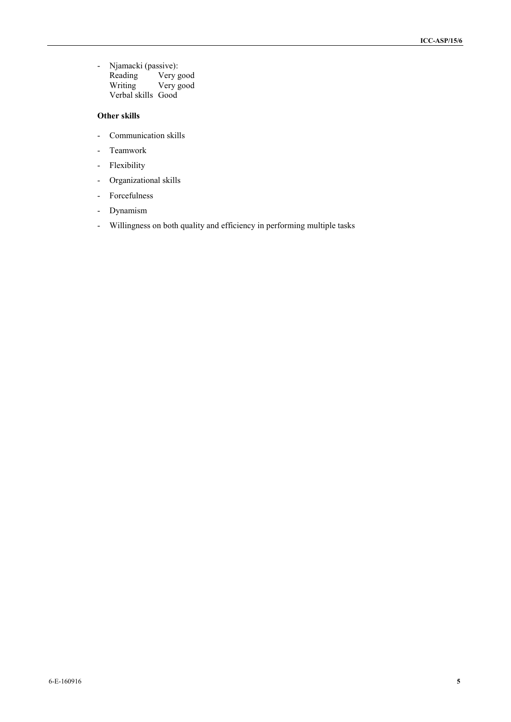- Njamacki (passive):<br>Reading Very g Reading Very good<br>Writing Very good Very good Verbal skills Good

## **Other skills**

- Communication skills
- Teamwork
- Flexibility
- Organizational skills
- Forcefulness
- Dynamism
- Willingness on both quality and efficiency in performing multiple tasks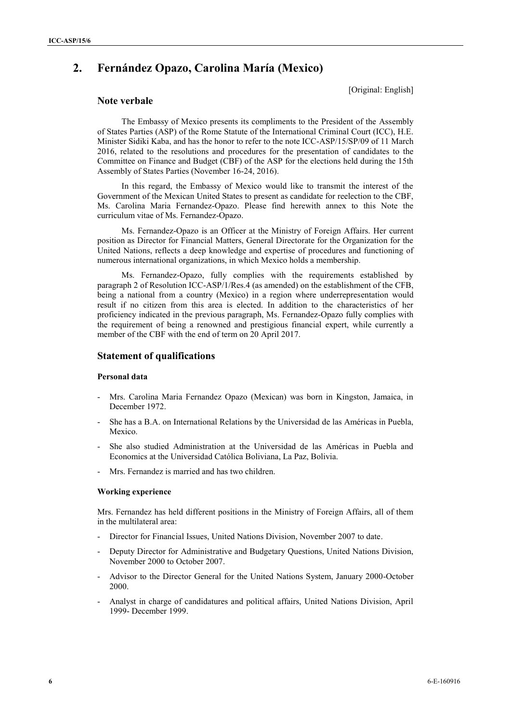# **2. Fernández Opazo, Carolina María (Mexico)**

## **Note verbale**

The Embassy of Mexico presents its compliments to the President of the Assembly of States Parties (ASP) of the Rome Statute of the International Criminal Court (ICC), H.E. Minister Sidiki Kaba, and has the honor to refer to the note ICC-ASP/15/SP/09 of 11 March 2016, related to the resolutions and procedures for the presentation of candidates to the Committee on Finance and Budget (CBF) of the ASP for the elections held during the 15th Assembly of States Parties (November 16-24, 2016).

[Original: English]

In this regard, the Embassy of Mexico would like to transmit the interest of the Government of the Mexican United States to present as candidate for reelection to the CBF, Ms. Carolina Maria Fernandez-Opazo. Please find herewith annex to this Note the curriculum vitae of Ms. Fernandez-Opazo.

Ms. Fernandez-Opazo is an Officer at the Ministry of Foreign Affairs. Her current position as Director for Financial Matters, General Directorate for the Organization for the United Nations, reflects a deep knowledge and expertise of procedures and functioning of numerous international organizations, in which Mexico holds a membership.

Ms. Fernandez-Opazo, fully complies with the requirements established by paragraph 2 of Resolution ICC-ASP/1/Res.4 (as amended) on the establishment of the CFB, being a national from a country (Mexico) in a region where underrepresentation would result if no citizen from this area is elected. In addition to the characteristics of her proficiency indicated in the previous paragraph, Ms. Fernandez-Opazo fully complies with the requirement of being a renowned and prestigious financial expert, while currently a member of the CBF with the end of term on 20 April 2017.

## **Statement of qualifications**

### **Personal data**

- Mrs. Carolina Maria Fernandez Opazo (Mexican) was born in Kingston, Jamaica, in December 1972.
- She has a B.A. on International Relations by the Universidad de las Américas in Puebla, Mexico.
- She also studied Administration at the Universidad de las Américas in Puebla and Economics at the Universidad Católica Boliviana, La Paz, Bolivia.
- Mrs. Fernandez is married and has two children.

### **Working experience**

Mrs. Fernandez has held different positions in the Ministry of Foreign Affairs, all of them in the multilateral area:

- Director for Financial Issues, United Nations Division, November 2007 to date.
- Deputy Director for Administrative and Budgetary Questions, United Nations Division, November 2000 to October 2007.
- Advisor to the Director General for the United Nations System, January 2000-October 2000.
- Analyst in charge of candidatures and political affairs, United Nations Division, April 1999- December 1999.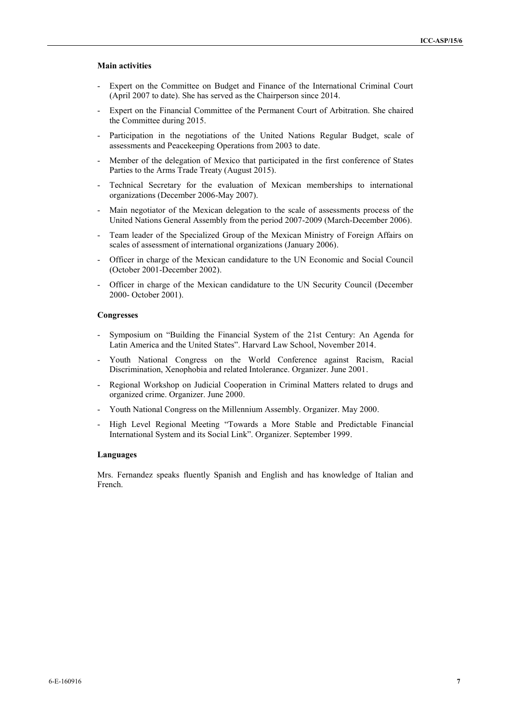## **Main activities**

- Expert on the Committee on Budget and Finance of the International Criminal Court (April 2007 to date). She has served as the Chairperson since 2014.
- Expert on the Financial Committee of the Permanent Court of Arbitration. She chaired the Committee during 2015.
- Participation in the negotiations of the United Nations Regular Budget, scale of assessments and Peacekeeping Operations from 2003 to date.
- Member of the delegation of Mexico that participated in the first conference of States Parties to the Arms Trade Treaty (August 2015).
- Technical Secretary for the evaluation of Mexican memberships to international organizations (December 2006-May 2007).
- Main negotiator of the Mexican delegation to the scale of assessments process of the United Nations General Assembly from the period 2007-2009 (March-December 2006).
- Team leader of the Specialized Group of the Mexican Ministry of Foreign Affairs on scales of assessment of international organizations (January 2006).
- Officer in charge of the Mexican candidature to the UN Economic and Social Council (October 2001-December 2002).
- Officer in charge of the Mexican candidature to the UN Security Council (December 2000- October 2001).

#### **Congresses**

- Symposium on "Building the Financial System of the 21st Century: An Agenda for Latin America and the United States". Harvard Law School, November 2014.
- Youth National Congress on the World Conference against Racism, Racial Discrimination, Xenophobia and related Intolerance. Organizer. June 2001.
- Regional Workshop on Judicial Cooperation in Criminal Matters related to drugs and organized crime. Organizer. June 2000.
- Youth National Congress on the Millennium Assembly. Organizer. May 2000.
- High Level Regional Meeting "Towards a More Stable and Predictable Financial International System and its Social Link". Organizer. September 1999.

### **Languages**

Mrs. Fernandez speaks fluently Spanish and English and has knowledge of Italian and French.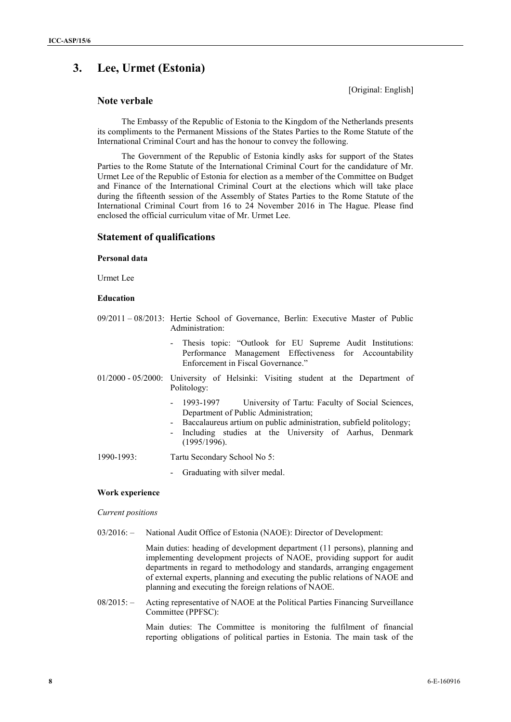# **3. Lee, Urmet (Estonia)**

[Original: English]

## **Note verbale**

The Embassy of the Republic of Estonia to the Kingdom of the Netherlands presents its compliments to the Permanent Missions of the States Parties to the Rome Statute of the International Criminal Court and has the honour to convey the following.

The Government of the Republic of Estonia kindly asks for support of the States Parties to the Rome Statute of the International Criminal Court for the candidature of Mr. Urmet Lee of the Republic of Estonia for election as a member of the Committee on Budget and Finance of the International Criminal Court at the elections which will take place during the fifteenth session of the Assembly of States Parties to the Rome Statute of the International Criminal Court from 16 to 24 November 2016 in The Hague. Please find enclosed the official curriculum vitae of Mr. Urmet Lee.

## **Statement of qualifications**

## **Personal data**

Urmet Lee

## **Education**

- 09/2011 08/2013: Hertie School of Governance, Berlin: Executive Master of Public Administration:
	- Thesis topic: "Outlook for EU Supreme Audit Institutions: Performance Management Effectiveness for Accountability Enforcement in Fiscal Governance."
- 01/2000 05/2000: University of Helsinki: Visiting student at the Department of Politology:
	- 1993-1997 University of Tartu: Faculty of Social Sciences, Department of Public Administration;
	- Baccalaureus artium on public administration, subfield politology;
	- Including studies at the University of Aarhus, Denmark (1995/1996).
- 1990-1993: Tartu Secondary School No 5:
	- Graduating with silver medal.

### **Work experience**

### *Current positions*

03/2016: – National Audit Office of Estonia (NAOE): Director of Development:

Main duties: heading of development department (11 persons), planning and implementing development projects of NAOE, providing support for audit departments in regard to methodology and standards, arranging engagement of external experts, planning and executing the public relations of NAOE and planning and executing the foreign relations of NAOE.

08/2015: – Acting representative of NAOE at the Political Parties Financing Surveillance Committee (PPFSC):

> Main duties: The Committee is monitoring the fulfilment of financial reporting obligations of political parties in Estonia. The main task of the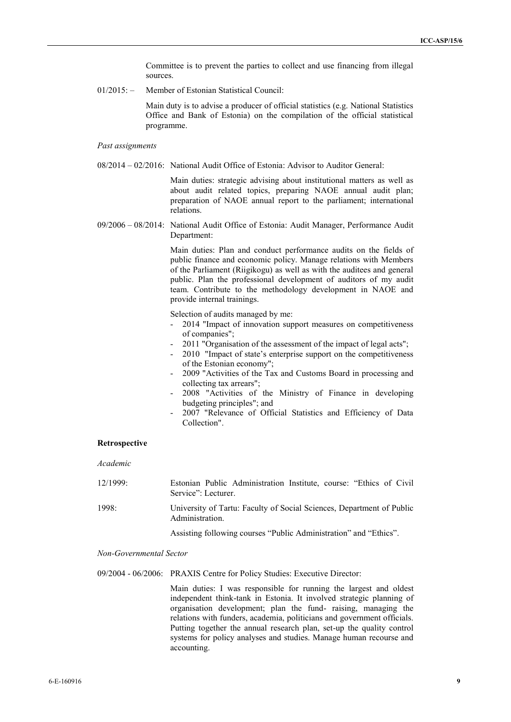Committee is to prevent the parties to collect and use financing from illegal sources.

01/2015: – Member of Estonian Statistical Council:

Main duty is to advise a producer of official statistics (e.g. National Statistics Office and Bank of Estonia) on the compilation of the official statistical programme.

#### *Past assignments*

08/2014 – 02/2016: National Audit Office of Estonia: Advisor to Auditor General:

Main duties: strategic advising about institutional matters as well as about audit related topics, preparing NAOE annual audit plan; preparation of NAOE annual report to the parliament; international relations.

09/2006 – 08/2014: National Audit Office of Estonia: Audit Manager, Performance Audit Department:

> Main duties: Plan and conduct performance audits on the fields of public finance and economic policy. Manage relations with Members of the Parliament (Riigikogu) as well as with the auditees and general public. Plan the professional development of auditors of my audit team. Contribute to the methodology development in NAOE and provide internal trainings.

Selection of audits managed by me:

- 2014 "Impact of innovation support measures on competitiveness of companies";
- 2011 "Organisation of the assessment of the impact of legal acts";
- 2010 "Impact of state's enterprise support on the competitiveness of the Estonian economy";
- 2009 "Activities of the Tax and Customs Board in processing and collecting tax arrears";
- 2008 "Activities of the Ministry of Finance in developing budgeting principles"; and
- 2007 "Relevance of Official Statistics and Efficiency of Data Collection".

#### **Retrospective**

*Academic*

| $12/1999$ : | Estonian Public Administration Institute, course: "Ethics of Civil<br>Service": Lecturer. |
|-------------|-------------------------------------------------------------------------------------------|
| 1998:       | University of Tartu: Faculty of Social Sciences, Department of Public<br>Administration.  |
|             | Assisting following courses "Public Administration" and "Ethics".                         |

*Non-Governmental Sector*

09/2004 - 06/2006: PRAXIS Centre for Policy Studies: Executive Director:

Main duties: I was responsible for running the largest and oldest independent think-tank in Estonia. It involved strategic planning of organisation development; plan the fund- raising, managing the relations with funders, academia, politicians and government officials. Putting together the annual research plan, set-up the quality control systems for policy analyses and studies. Manage human recourse and accounting.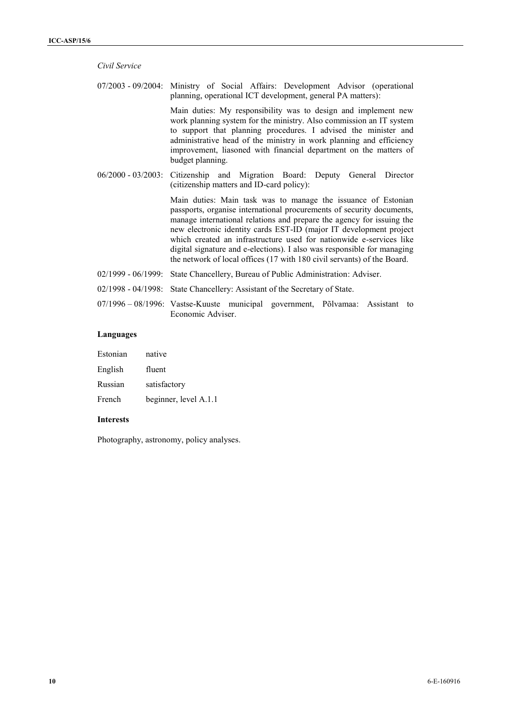| Civil Service         |                                                                                                                                                                                                                                                                                                                                                                                                                                                                                                                    |
|-----------------------|--------------------------------------------------------------------------------------------------------------------------------------------------------------------------------------------------------------------------------------------------------------------------------------------------------------------------------------------------------------------------------------------------------------------------------------------------------------------------------------------------------------------|
|                       | 07/2003 - 09/2004: Ministry of Social Affairs: Development Advisor (operational<br>planning, operational ICT development, general PA matters):                                                                                                                                                                                                                                                                                                                                                                     |
|                       | Main duties: My responsibility was to design and implement new<br>work planning system for the ministry. Also commission an IT system<br>to support that planning procedures. I advised the minister and<br>administrative head of the ministry in work planning and efficiency<br>improvement, liasoned with financial department on the matters of<br>budget planning.                                                                                                                                           |
| $06/2000 - 03/2003$ : | Citizenship and Migration Board: Deputy General Director<br>(citizenship matters and ID-card policy):                                                                                                                                                                                                                                                                                                                                                                                                              |
|                       | Main duties: Main task was to manage the issuance of Estonian<br>passports, organise international procurements of security documents,<br>manage international relations and prepare the agency for issuing the<br>new electronic identity cards EST-ID (major IT development project<br>which created an infrastructure used for nationwide e-services like<br>digital signature and e-elections). I also was responsible for managing<br>the network of local offices (17 with 180 civil servants) of the Board. |
| $02/1999 - 06/1999$   | State Chancellery, Bureau of Public Administration: Adviser.                                                                                                                                                                                                                                                                                                                                                                                                                                                       |
|                       | 02/1998 - 04/1998: State Chancellery: Assistant of the Secretary of State.                                                                                                                                                                                                                                                                                                                                                                                                                                         |
|                       | 07/1996 – 08/1996: Vastse-Kuuste municipal government, Põlvamaa: Assistant to<br>Economic Adviser.                                                                                                                                                                                                                                                                                                                                                                                                                 |

# **Languages**

| Estonian | native                |
|----------|-----------------------|
| English  | fluent                |
| Russian  | satisfactory          |
| French   | beginner, level A.1.1 |

# **Interests**

Photography, astronomy, policy analyses.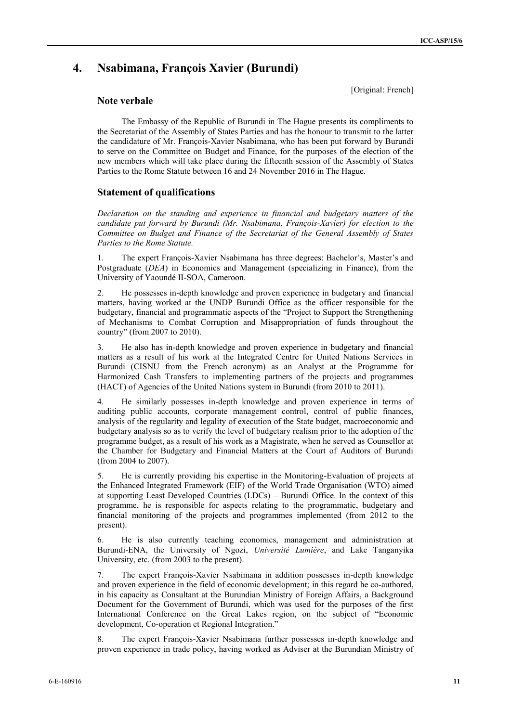# **4. Nsabimana, François Xavier (Burundi)**

## **Note verbale**

[Original: French]

The Embassy of the Republic of Burundi in The Hague presents its compliments to the Secretariat of the Assembly of States Parties and has the honour to transmit to the latter the candidature of Mr. François-Xavier Nsabimana, who has been put forward by Burundi to serve on the Committee on Budget and Finance, for the purposes of the election of the new members which will take place during the fifteenth session of the Assembly of States Parties to the Rome Statute between 16 and 24 November 2016 in The Hague.

# **Statement of qualifications**

*Declaration on the standing and experience in financial and budgetary matters of the candidate put forward by Burundi (Mr. Nsabimana, François-Xavier) for election to the Committee on Budget and Finance of the Secretariat of the General Assembly of States Parties to the Rome Statute.*

1. The expert François-Xavier Nsabimana has three degrees: Bachelor's, Master's and Postgraduate (*DEA*) in Economics and Management (specializing in Finance), from the University of Yaoundé II-SOA, Cameroon.

2. He possesses in-depth knowledge and proven experience in budgetary and financial matters, having worked at the UNDP Burundi Office as the officer responsible for the budgetary, financial and programmatic aspects of the "Project to Support the Strengthening of Mechanisms to Combat Corruption and Misappropriation of funds throughout the country" (from 2007 to 2010).

3. He also has in-depth knowledge and proven experience in budgetary and financial matters as a result of his work at the Integrated Centre for United Nations Services in Burundi (CISNU from the French acronym) as an Analyst at the Programme for Harmonized Cash Transfers to implementing partners of the projects and programmes (HACT) of Agencies of the United Nations system in Burundi (from 2010 to 2011).

4. He similarly possesses in-depth knowledge and proven experience in terms of auditing public accounts, corporate management control, control of public finances, analysis of the regularity and legality of execution of the State budget, macroeconomic and budgetary analysis so as to verify the level of budgetary realism prior to the adoption of the programme budget, as a result of his work as a Magistrate, when he served as Counsellor at the Chamber for Budgetary and Financial Matters at the Court of Auditors of Burundi (from 2004 to 2007).

5. He is currently providing his expertise in the Monitoring-Evaluation of projects at the Enhanced Integrated Framework (EIF) of the World Trade Organisation (WTO) aimed at supporting Least Developed Countries (LDCs) – Burundi Office. In the context of this programme, he is responsible for aspects relating to the programmatic, budgetary and financial monitoring of the projects and programmes implemented (from 2012 to the present).

6. He is also currently teaching economics, management and administration at Burundi-ENA, the University of Ngozi, *Université Lumière*, and Lake Tanganyika University, etc. (from 2003 to the present).

7. The expert François-Xavier Nsabimana in addition possesses in-depth knowledge and proven experience in the field of economic development; in this regard he co-authored, in his capacity as Consultant at the Burundian Ministry of Foreign Affairs, a Background Document for the Government of Burundi, which was used for the purposes of the first International Conference on the Great Lakes region, on the subject of "Economic development, Co-operation et Regional Integration."

8. The expert François-Xavier Nsabimana further possesses in-depth knowledge and proven experience in trade policy, having worked as Adviser at the Burundian Ministry of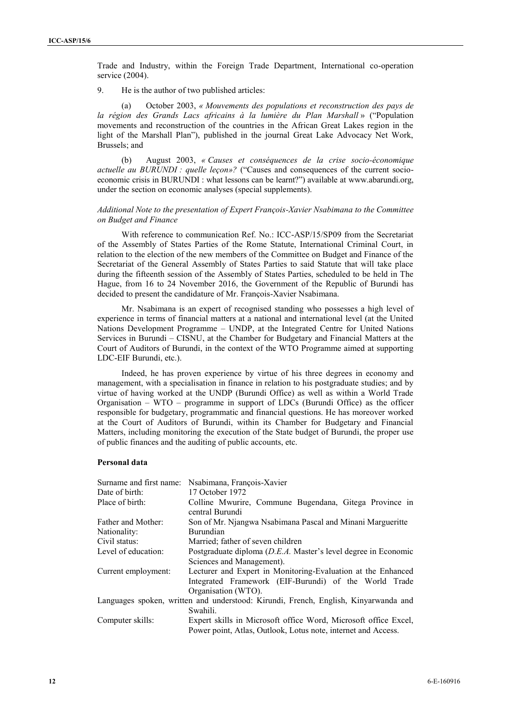Trade and Industry, within the Foreign Trade Department, International co-operation service (2004).

9. He is the author of two published articles:

(a) October 2003, *« Mouvements des populations et reconstruction des pays de la région des Grands Lacs africains à la lumière du Plan Marshall* » ("Population movements and reconstruction of the countries in the African Great Lakes region in the light of the Marshall Plan"), published in the journal Great Lake Advocacy Net Work, Brussels; and

(b) August 2003, *« Causes et conséquences de la crise socio-économique actuelle au BURUNDI : quelle leçon»?* ("Causes and consequences of the current socio economic crisis in BURUNDI : what lessons can be learnt?") available at www.abarundi.org, under the section on economic analyses (special supplements).

## *Additional Note to the presentation of Expert François-Xavier Nsabimana to the Committee on Budget and Finance*

With reference to communication Ref. No.: ICC-ASP/15/SP09 from the Secretariat of the Assembly of States Parties of the Rome Statute, International Criminal Court, in relation to the election of the new members of the Committee on Budget and Finance of the Secretariat of the General Assembly of States Parties to said Statute that will take place during the fifteenth session of the Assembly of States Parties, scheduled to be held in The Hague, from 16 to 24 November 2016, the Government of the Republic of Burundi has decided to present the candidature of Mr. François-Xavier Nsabimana.

Mr. Nsabimana is an expert of recognised standing who possesses a high level of experience in terms of financial matters at a national and international level (at the United Nations Development Programme – UNDP, at the Integrated Centre for United Nations Services in Burundi – CISNU, at the Chamber for Budgetary and Financial Matters at the Court of Auditors of Burundi, in the context of the WTO Programme aimed at supporting LDC-EIF Burundi, etc.).

Indeed, he has proven experience by virtue of his three degrees in economy and management, with a specialisation in finance in relation to his postgraduate studies; and by virtue of having worked at the UNDP (Burundi Office) as well as within a World Trade Organisation – WTO – programme in support of LDCs (Burundi Office) as the officer responsible for budgetary, programmatic and financial questions. He has moreover worked at the Court of Auditors of Burundi, within its Chamber for Budgetary and Financial Matters, including monitoring the execution of the State budget of Burundi, the proper use of public finances and the auditing of public accounts, etc.

#### **Personal data**

|                                                                                     | Surname and first name: Nsabimana, François-Xavier                                                                                           |  |
|-------------------------------------------------------------------------------------|----------------------------------------------------------------------------------------------------------------------------------------------|--|
| Date of birth:                                                                      | 17 October 1972                                                                                                                              |  |
| Place of birth:                                                                     | Colline Mwurire, Commune Bugendana, Gitega Province in<br>central Burundi                                                                    |  |
| Father and Mother:                                                                  | Son of Mr. Njangwa Nsabimana Pascal and Minani Margueritte                                                                                   |  |
| Nationality:                                                                        | Burundian                                                                                                                                    |  |
| Civil status:                                                                       | Married; father of seven children                                                                                                            |  |
| Level of education:                                                                 | Postgraduate diploma (D.E.A. Master's level degree in Economic                                                                               |  |
|                                                                                     | Sciences and Management).                                                                                                                    |  |
| Current employment:                                                                 | Lecturer and Expert in Monitoring-Evaluation at the Enhanced<br>Integrated Framework (EIF-Burundi) of the World Trade<br>Organisation (WTO). |  |
| Languages spoken, written and understood: Kirundi, French, English, Kinyarwanda and |                                                                                                                                              |  |
|                                                                                     | Swahili.                                                                                                                                     |  |
| Computer skills:                                                                    | Expert skills in Microsoft office Word, Microsoft office Excel,                                                                              |  |
|                                                                                     | Power point, Atlas, Outlook, Lotus note, internet and Access.                                                                                |  |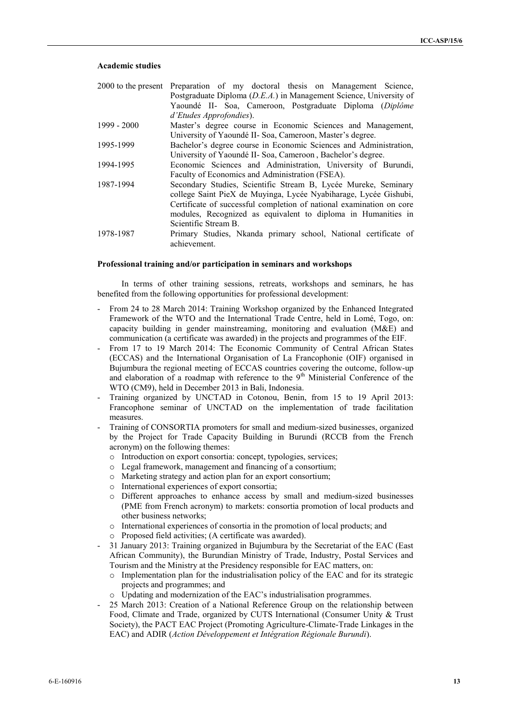#### **Academic studies**

|             | 2000 to the present Preparation of my doctoral thesis on Management Science, |
|-------------|------------------------------------------------------------------------------|
|             | Postgraduate Diploma (D.E.A.) in Management Science, University of           |
|             | Yaoundé II- Soa, Cameroon, Postgraduate Diploma (Diplôme                     |
|             | d'Etudes Approfondies).                                                      |
| 1999 - 2000 | Master's degree course in Economic Sciences and Management,                  |
|             | University of Yaoundé II-Soa, Cameroon, Master's degree.                     |
| 1995-1999   | Bachelor's degree course in Economic Sciences and Administration,            |
|             | University of Yaoundé II-Soa, Cameroon, Bachelor's degree.                   |
| 1994-1995   | Economic Sciences and Administration, University of Burundi,                 |
|             | Faculty of Economics and Administration (FSEA).                              |
| 1987-1994   | Secondary Studies, Scientific Stream B, Lycée Mureke, Seminary               |
|             | college Saint PieX de Muyinga, Lycée Nyabiharage, Lycée Gishubi,             |
|             | Certificate of successful completion of national examination on core         |
|             | modules, Recognized as equivalent to diploma in Humanities in                |
|             | Scientific Stream B.                                                         |
| 1978-1987   | Primary Studies, Nkanda primary school, National certificate of              |
|             | achievement.                                                                 |

#### **Professional training and/or participation in seminars and workshops**

In terms of other training sessions, retreats, workshops and seminars, he has benefited from the following opportunities for professional development:

- From 24 to 28 March 2014: Training Workshop organized by the Enhanced Integrated Framework of the WTO and the International Trade Centre, held in Lomé, Togo, on: capacity building in gender mainstreaming, monitoring and evaluation (M&E) and communication (a certificate was awarded) in the projects and programmes of the EIF.
- From 17 to 19 March 2014: The Economic Community of Central African States (ECCAS) and the International Organisation of La Francophonie (OIF) organised in Bujumbura the regional meeting of ECCAS countries covering the outcome, follow-up and elaboration of a roadmap with reference to the  $9<sup>th</sup>$  Ministerial Conference of the WTO (CM9), held in December 2013 in Bali, Indonesia.
- Training organized by UNCTAD in Cotonou, Benin, from 15 to 19 April 2013: Francophone seminar of UNCTAD on the implementation of trade facilitation measures.
- Training of CONSORTIA promoters for small and medium-sized businesses, organized by the Project for Trade Capacity Building in Burundi (RCCB from the French acronym) on the following themes:
	- o Introduction on export consortia: concept, typologies, services;
	- o Legal framework, management and financing of a consortium;
	- Marketing strategy and action plan for an export consortium;
	- o International experiences of export consortia;<br>  $\circ$  Different approaches to enhance access by
	- Different approaches to enhance access by small and medium-sized businesses (PME from French acronym) to markets: consortia promotion of local products and other business networks;
	- o International experiences of consortia in the promotion of local products; and  $\circ$  Proposed field activities; (A certificate was awarded).
	-
- 31 January 2013: Training organized in Bujumbura by the Secretariat of the EAC (East African Community), the Burundian Ministry of Trade, Industry, Postal Services and Tourism and the Ministry at the Presidency responsible for EAC matters, on:
	- o Implementation plan for the industrialisation policy of the EAC and for its strategic projects and programmes; and<br>  $\circ$  Updating and modernization of the EAC's industrialisation programmes.
	-
- 25 March 2013: Creation of a National Reference Group on the relationship between Food, Climate and Trade, organized by CUTS International (Consumer Unity & Trust Society), the PACT EAC Project (Promoting Agriculture-Climate-Trade Linkages in the EAC) and ADIR (*Action Développement et Intégration Régionale Burundi*).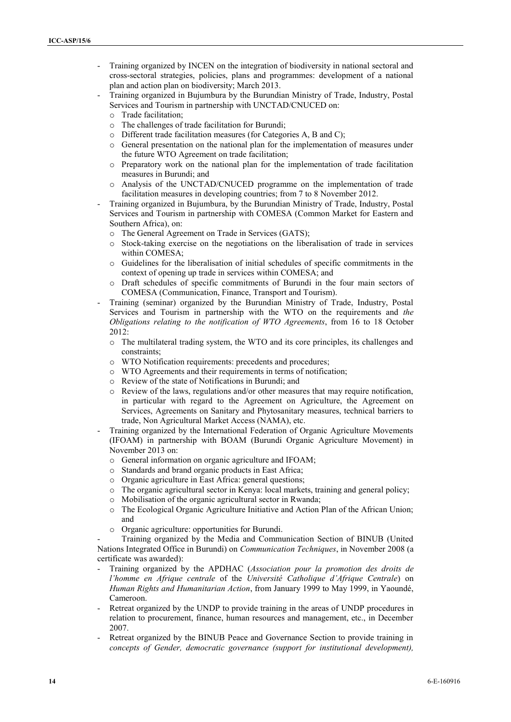- Training organized by INCEN on the integration of biodiversity in national sectoral and cross-sectoral strategies, policies, plans and programmes: development of a national plan and action plan on biodiversity; March 2013.
- Training organized in Bujumbura by the Burundian Ministry of Trade, Industry, Postal Services and Tourism in partnership with UNCTAD/CNUCED on:
	- o Trade facilitation;
	- o The challenges of trade facilitation for Burundi;
	- $\circ$  Different trade facilitation measures (for Categories A, B and C);<br>  $\circ$  General presentation on the national plan for the implementation
	- General presentation on the national plan for the implementation of measures under the future WTO Agreement on trade facilitation;
	- o Preparatory work on the national plan for the implementation of trade facilitation measures in Burundi; and
	- o Analysis of the UNCTAD/CNUCED programme on the implementation of trade facilitation measures in developing countries; from 7 to 8 November 2012.
- Training organized in Bujumbura, by the Burundian Ministry of Trade, Industry, Postal Services and Tourism in partnership with COMESA (Common Market for Eastern and Southern Africa), on:
	- The General Agreement on Trade in Services (GATS):
	- o Stock-taking exercise on the negotiations on the liberalisation of trade in services within COMESA;
	- o Guidelines for the liberalisation of initial schedules of specific commitments in the context of opening up trade in services within COMESA; and
	- o Draft schedules of specific commitments of Burundi in the four main sectors of COMESA (Communication, Finance, Transport and Tourism).
- Training (seminar) organized by the Burundian Ministry of Trade, Industry, Postal Services and Tourism in partnership with the WTO on the requirements and *the Obligations relating to the notification of WTO Agreements*, from 16 to 18 October 2012:
	- o The multilateral trading system, the WTO and its core principles, its challenges and constraints;
	- o WTO Notification requirements: precedents and procedures;
	- o WTO Agreements and their requirements in terms of notification;
	- o Review of the state of Notifications in Burundi; and
	- $\circ$  Review of the laws, regulations and/or other measures that may require notification, in particular with regard to the Agreement on Agriculture, the Agreement on Services, Agreements on Sanitary and Phytosanitary measures, technical barriers to trade, Non Agricultural Market Access (NAMA), etc.
- Training organized by the International Federation of Organic Agriculture Movements (IFOAM) in partnership with BOAM (Burundi Organic Agriculture Movement) in November 2013 on:
	- o General information on organic agriculture and IFOAM;
	- o Standards and brand organic products in East Africa;
	- o Organic agriculture in East Africa: general questions;
	- o The organic agricultural sector in Kenya: local markets, training and general policy;
	- o Mobilisation of the organic agricultural sector in Rwanda;
	- o The Ecological Organic Agriculture Initiative and Action Plan of the African Union; and
	-

o Organic agriculture: opportunities for Burundi.<br>- Training organized by the Media and Communication Section of BINUB (United Nations Integrated Office in Burundi) on *Communication Techniques*, in November 2008 (a certificate was awarded):

- Training organized by the APDHAC (*Association pour la promotion des droits de l'homme en Afrique centrale* of the *Université Catholique d'Afrique Centrale*) on *Human Rights and Humanitarian Action*, from January 1999 to May 1999, in Yaoundé, Cameroon.
- Retreat organized by the UNDP to provide training in the areas of UNDP procedures in relation to procurement, finance, human resources and management, etc., in December 2007.
- Retreat organized by the BINUB Peace and Governance Section to provide training in *concepts of Gender, democratic governance (support for institutional development),*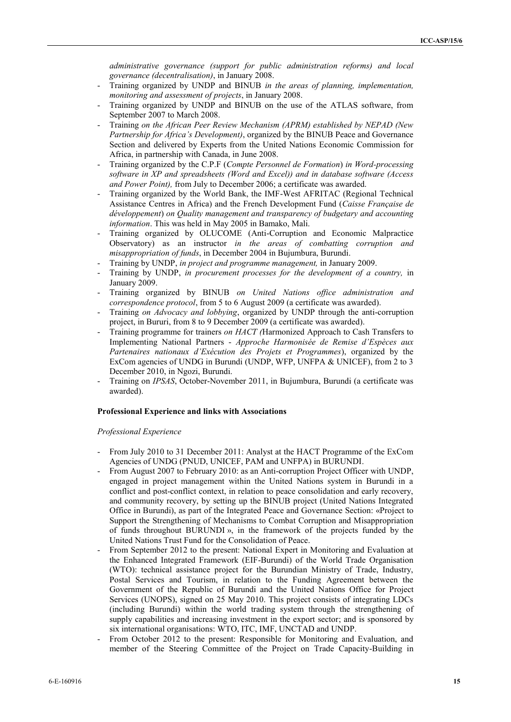*administrative governance (support for public administration reforms) and local governance (decentralisation)*, in January 2008.

- Training organized by UNDP and BINUB *in the areas of planning, implementation, monitoring and assessment of projects*, in January 2008.
- Training organized by UNDP and BINUB on the use of the ATLAS software, from September 2007 to March 2008.
- Training *on the African Peer Review Mechanism (APRM) established by NEPAD (New Partnership for Africa's Development)*, organized by the BINUB Peace and Governance Section and delivered by Experts from the United Nations Economic Commission for Africa, in partnership with Canada, in June 2008.
- Training organized by the C.P.F (*Compte Personnel de Formation*) *in Word-processing software in XP and spreadsheets (Word and Excel)) and in database software (Access and Power Point),* from July to December 2006; a certificate was awarded.
- Training organized by the World Bank, the IMF-West AFRITAC (Regional Technical Assistance Centres in Africa) and the French Development Fund (*Caisse Française de développement*) *on Quality management and transparency of budgetary and accounting information*. This was held in May 2005 in Bamako, Mali.
- Training organized by OLUCOME (Anti-Corruption and Economic Malpractice Observatory) as an instructor *in the areas of combatting corruption and misappropriation of funds*, in December 2004 in Bujumbura, Burundi.
- Training by UNDP, *in project and programme management,* in January 2009.
- Training by UNDP, *in procurement processes for the development of a country,* in January 2009.
- Training organized by BINUB *on United Nations office administration and correspondence protocol*, from 5 to 6 August 2009 (a certificate was awarded).
- Training *on Advocacy and lobbying*, organized by UNDP through the anti-corruption project, in Bururi, from 8 to 9 December 2009 (a certificate was awarded).
- Training programme for trainers *on HACT (*Harmonized Approach to Cash Transfers to Implementing National Partners - *Approche Harmonisée de Remise d'Espèces aux Partenaires nationaux d'Exécution des Projets et Programmes*), organized by the ExCom agencies of UNDG in Burundi (UNDP, WFP, UNFPA & UNICEF), from 2 to 3 December 2010, in Ngozi, Burundi.
- Training on *IPSAS*, October-November 2011, in Bujumbura, Burundi (a certificate was awarded).

### **Professional Experience and links with Associations**

#### *Professional Experience*

- From July 2010 to 31 December 2011: Analyst at the HACT Programme of the ExCom Agencies of UNDG (PNUD, UNICEF, PAM and UNFPA) in BURUNDI.
- From August 2007 to February 2010: as an Anti-corruption Project Officer with UNDP, engaged in project management within the United Nations system in Burundi in a conflict and post-conflict context, in relation to peace consolidation and early recovery, and community recovery, by setting up the BINUB project (United Nations Integrated Office in Burundi), as part of the Integrated Peace and Governance Section: «Project to Support the Strengthening of Mechanisms to Combat Corruption and Misappropriation of funds throughout BURUNDI », in the framework of the projects funded by the United Nations Trust Fund for the Consolidation of Peace.
- From September 2012 to the present: National Expert in Monitoring and Evaluation at the Enhanced Integrated Framework (EIF-Burundi) of the World Trade Organisation (WTO): technical assistance project for the Burundian Ministry of Trade, Industry, Postal Services and Tourism, in relation to the Funding Agreement between the Government of the Republic of Burundi and the United Nations Office for Project Services (UNOPS), signed on 25 May 2010. This project consists of integrating LDCs (including Burundi) within the world trading system through the strengthening of supply capabilities and increasing investment in the export sector; and is sponsored by six international organisations: WTO, ITC, IMF, UNCTAD and UNDP.
- From October 2012 to the present: Responsible for Monitoring and Evaluation, and member of the Steering Committee of the Project on Trade Capacity-Building in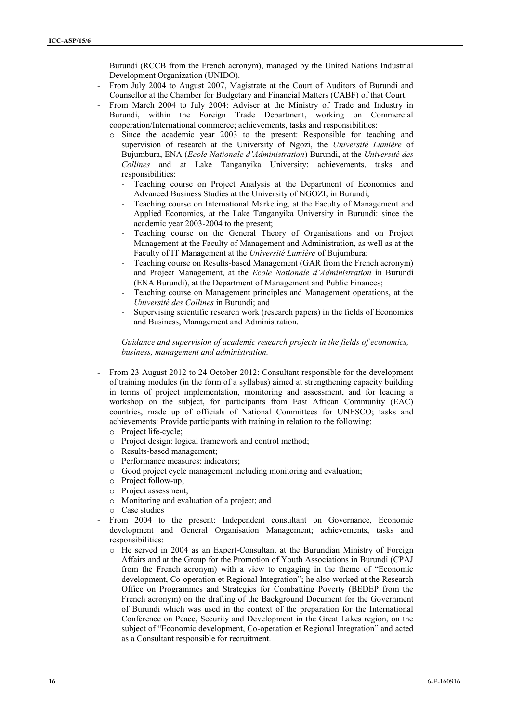Burundi (RCCB from the French acronym), managed by the United Nations Industrial Development Organization (UNIDO).

- From July 2004 to August 2007, Magistrate at the Court of Auditors of Burundi and Counsellor at the Chamber for Budgetary and Financial Matters (CABF) of that Court.
- From March 2004 to July 2004: Adviser at the Ministry of Trade and Industry in Burundi, within the Foreign Trade Department, working on Commercial cooperation/International commerce; achievements, tasks and responsibilities:
	- o Since the academic year 2003 to the present: Responsible for teaching and supervision of research at the University of Ngozi, the *Université Lumière* of Bujumbura, ENA (*Ecole Nationale d'Administration*) Burundi, at the *Université des Collines* and at Lake Tanganyika University; achievements, tasks and responsibilities:
		- Teaching course on Project Analysis at the Department of Economics and Advanced Business Studies at the University of NGOZI, in Burundi;
		- Teaching course on International Marketing, at the Faculty of Management and Applied Economics, at the Lake Tanganyika University in Burundi: since the academic year 2003-2004 to the present;
		- Teaching course on the General Theory of Organisations and on Project Management at the Faculty of Management and Administration, as well as at the Faculty of IT Management at the *Université Lumière* of Bujumbura;
		- Teaching course on Results-based Management (GAR from the French acronym) and Project Management, at the *Ecole Nationale d'Administration* in Burundi (ENA Burundi), at the Department of Management and Public Finances;
		- Teaching course on Management principles and Management operations, at the *Université des Collines* in Burundi; and
		- Supervising scientific research work (research papers) in the fields of Economics and Business, Management and Administration.

*Guidance and supervision of academic research projects in the fields of economics, business, management and administration.*

- From 23 August 2012 to 24 October 2012: Consultant responsible for the development of training modules (in the form of a syllabus) aimed at strengthening capacity building in terms of project implementation, monitoring and assessment, and for leading a workshop on the subject, for participants from East African Community (EAC) countries, made up of officials of National Committees for UNESCO; tasks and achievements: Provide participants with training in relation to the following:
	- o Project life-cycle;
	- o Project design: logical framework and control method;
	- o Results-based management;
	- o Performance measures: indicators;
	- $\circ$  Good project cycle management including monitoring and evaluation;<br> $\circ$  Project follow-up:
	- Project follow-up;
	- o Project assessment;
	- o Monitoring and evaluation of a project; and
	- o Case studies
- From 2004 to the present: Independent consultant on Governance, Economic development and General Organisation Management; achievements, tasks and responsibilities:
	- o He served in 2004 as an Expert-Consultant at the Burundian Ministry of Foreign Affairs and at the Group for the Promotion of Youth Associations in Burundi (CPAJ from the French acronym) with a view to engaging in the theme of "Economic development, Co-operation et Regional Integration"; he also worked at the Research Office on Programmes and Strategies for Combatting Poverty (BEDEP from the French acronym) on the drafting of the Background Document for the Government of Burundi which was used in the context of the preparation for the International Conference on Peace, Security and Development in the Great Lakes region, on the subject of "Economic development, Co-operation et Regional Integration" and acted as a Consultant responsible for recruitment.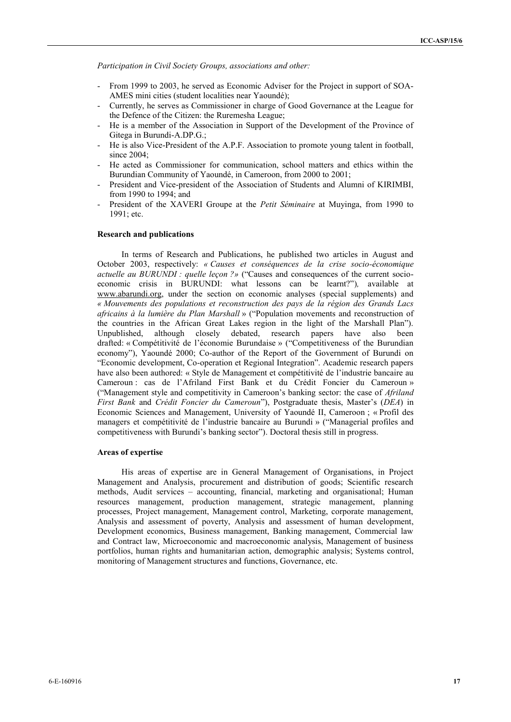*Participation in Civil Society Groups, associations and other:*

- From 1999 to 2003, he served as Economic Adviser for the Project in support of SOA-AMES mini cities (student localities near Yaoundé);
- Currently, he serves as Commissioner in charge of Good Governance at the League for the Defence of the Citizen: the Ruremesha League;
- He is a member of the Association in Support of the Development of the Province of Gitega in Burundi-A.DP.G.;
- He is also Vice-President of the A.P.F. Association to promote young talent in football, since 2004:
- He acted as Commissioner for communication, school matters and ethics within the Burundian Community of Yaoundé, in Cameroon, from 2000 to 2001;
- President and Vice-president of the Association of Students and Alumni of KIRIMBI, from 1990 to 1994; and
- President of the XAVERI Groupe at the *Petit Séminaire* at Muyinga, from 1990 to 1991; etc.

#### **Research and publications**

In terms of Research and Publications, he published two articles in August and October 2003, respectively: *« Causes et conséquences de la crise socio-économique actuelle au BURUNDI : quelle leçon ?»* ("Causes and consequences of the current socio economic crisis in BURUNDI: what lessons can be learnt?")*,* available at www.abarundi.org, under the section on economic analyses (special supplements) and *« Mouvements des populations et reconstruction des pays de la région des Grands Lacs africains à la lumière du Plan Marshall* » ("Population movements and reconstruction of the countries in the African Great Lakes region in the light of the Marshall Plan"). Unpublished, although closely debated, research papers have also been drafted: « Compétitivité de l'économie Burundaise » ("Competitiveness of the Burundian economy"), Yaoundé 2000; Co-author of the Report of the Government of Burundi on "Economic development, Co-operation et Regional Integration". Academic research papers have also been authored: « Style de Management et compétitivité de l'industrie bancaire au Cameroun : cas de l'Afriland First Bank et du Crédit Foncier du Cameroun » ("Management style and competitivity in Cameroon's banking sector: the case of *Afriland First Bank* and *Crédit Foncier du Cameroun*"), Postgraduate thesis, Master's (*DEA*) in Economic Sciences and Management, University of Yaoundé II, Cameroon ; « Profil des managers et compétitivité de l'industrie bancaire au Burundi » ("Managerial profiles and competitiveness with Burundi's banking sector"). Doctoral thesis still in progress.

#### **Areas of expertise**

His areas of expertise are in General Management of Organisations, in Project Management and Analysis, procurement and distribution of goods; Scientific research methods, Audit services – accounting, financial, marketing and organisational; Human resources management, production management, strategic management, planning processes, Project management, Management control, Marketing, corporate management, Analysis and assessment of poverty, Analysis and assessment of human development, Development economics, Business management, Banking management, Commercial law and Contract law, Microeconomic and macroeconomic analysis, Management of business portfolios, human rights and humanitarian action, demographic analysis; Systems control, monitoring of Management structures and functions, Governance, etc.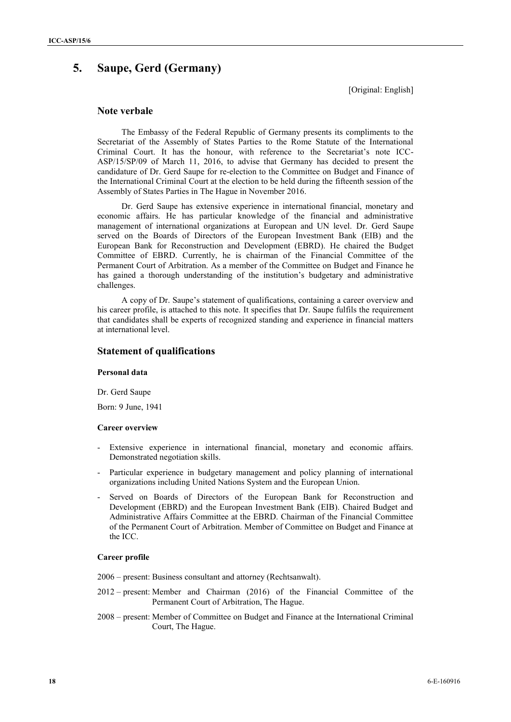# **5. Saupe, Gerd (Germany)**

[Original: English]

## **Note verbale**

The Embassy of the Federal Republic of Germany presents its compliments to the Secretariat of the Assembly of States Parties to the Rome Statute of the International Criminal Court. It has the honour, with reference to the Secretariat's note ICC- ASP/15/SP/09 of March 11, 2016, to advise that Germany has decided to present the candidature of Dr. Gerd Saupe for re-election to the Committee on Budget and Finance of the International Criminal Court at the election to be held during the fifteenth session of the Assembly of States Parties in The Hague in November 2016.

Dr. Gerd Saupe has extensive experience in international financial, monetary and economic affairs. He has particular knowledge of the financial and administrative management of international organizations at European and UN level. Dr. Gerd Saupe served on the Boards of Directors of the European Investment Bank (EIB) and the European Bank for Reconstruction and Development (EBRD). He chaired the Budget Committee of EBRD. Currently, he is chairman of the Financial Committee of the Permanent Court of Arbitration. As a member of the Committee on Budget and Finance he has gained a thorough understanding of the institution's budgetary and administrative challenges.

A copy of Dr. Saupe's statement of qualifications, containing a career overview and his career profile, is attached to this note. It specifies that Dr. Saupe fulfils the requirement that candidates shall be experts of recognized standing and experience in financial matters at international level.

# **Statement of qualifications**

### **Personal data**

Dr. Gerd Saupe

Born: 9 June, 1941

### **Career overview**

- Extensive experience in international financial, monetary and economic affairs. Demonstrated negotiation skills.
- Particular experience in budgetary management and policy planning of international organizations including United Nations System and the European Union.
- Served on Boards of Directors of the European Bank for Reconstruction and Development (EBRD) and the European Investment Bank (EIB). Chaired Budget and Administrative Affairs Committee at the EBRD. Chairman of the Financial Committee of the Permanent Court of Arbitration. Member of Committee on Budget and Finance at the ICC.

## **Career profile**

2006 – present: Business consultant and attorney (Rechtsanwalt).

- 2012 present: Member and Chairman (2016) of the Financial Committee of the Permanent Court of Arbitration, The Hague.
- 2008 present: Member of Committee on Budget and Finance at the International Criminal Court, The Hague.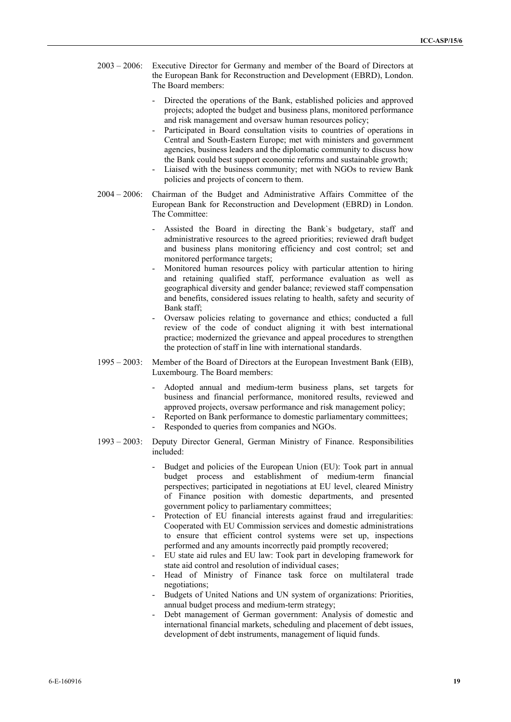- 2003 2006: Executive Director for Germany and member of the Board of Directors at the European Bank for Reconstruction and Development (EBRD), London. The Board members:
	- Directed the operations of the Bank, established policies and approved projects; adopted the budget and business plans, monitored performance and risk management and oversaw human resources policy;
	- Participated in Board consultation visits to countries of operations in Central and South-Eastern Europe; met with ministers and government agencies, business leaders and the diplomatic community to discuss how the Bank could best support economic reforms and sustainable growth;
	- Liaised with the business community; met with NGOs to review Bank policies and projects of concern to them.
- 2004 2006: Chairman of the Budget and Administrative Affairs Committee of the European Bank for Reconstruction and Development (EBRD) in London. The Committee:
	- Assisted the Board in directing the Bank`s budgetary, staff and administrative resources to the agreed priorities; reviewed draft budget and business plans monitoring efficiency and cost control; set and monitored performance targets;
	- Monitored human resources policy with particular attention to hiring and retaining qualified staff, performance evaluation as well as geographical diversity and gender balance; reviewed staff compensation and benefits, considered issues relating to health, safety and security of Bank staff;
	- Oversaw policies relating to governance and ethics; conducted a full review of the code of conduct aligning it with best international practice; modernized the grievance and appeal procedures to strengthen the protection of staff in line with international standards.
- 1995 2003: Member of the Board of Directors at the European Investment Bank (EIB), Luxembourg. The Board members:
	- Adopted annual and medium-term business plans, set targets for business and financial performance, monitored results, reviewed and approved projects, oversaw performance and risk management policy;
	- Reported on Bank performance to domestic parliamentary committees;
	- Responded to queries from companies and NGOs.
- 1993 2003: Deputy Director General, German Ministry of Finance. Responsibilities included:
	- Budget and policies of the European Union (EU): Took part in annual budget process and establishment of medium-term financial perspectives; participated in negotiations at EU level, cleared Ministry of Finance position with domestic departments, and presented government policy to parliamentary committees;
	- Protection of EU financial interests against fraud and irregularities: Cooperated with EU Commission services and domestic administrations to ensure that efficient control systems were set up, inspections performed and any amounts incorrectly paid promptly recovered;
	- EU state aid rules and EU law: Took part in developing framework for state aid control and resolution of individual cases;
	- Head of Ministry of Finance task force on multilateral trade negotiations;
	- Budgets of United Nations and UN system of organizations: Priorities, annual budget process and medium-term strategy;
	- Debt management of German government: Analysis of domestic and international financial markets, scheduling and placement of debt issues, development of debt instruments, management of liquid funds.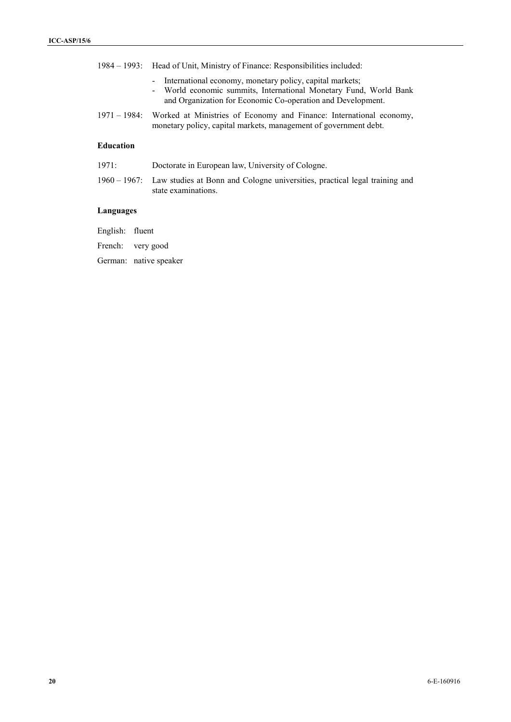| 1984 – 1993: Head of Unit, Ministry of Finance: Responsibilities included:                                                                                                                     |
|------------------------------------------------------------------------------------------------------------------------------------------------------------------------------------------------|
| - International economy, monetary policy, capital markets;<br>- World economic summits, International Monetary Fund, World Bank<br>and Organization for Economic Co-operation and Development. |

1971 – 1984: Worked at Ministries of Economy and Finance: International economy, monetary policy, capital markets, management of government debt.

# **Education**

- 1971: Doctorate in European law, University of Cologne.
- 1960 1967: Law studies at Bonn and Cologne universities, practical legal training and state examinations.

## **Languages**

| English: | fluent |
|----------|--------|
|----------|--------|

French: very good

German: native speaker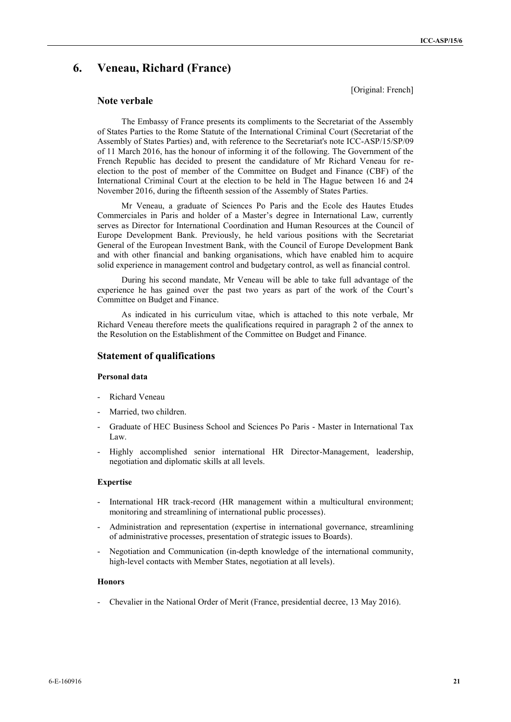# **6. Veneau, Richard (France)**

[Original: French]

## **Note verbale**

The Embassy of France presents its compliments to the Secretariat of the Assembly of States Parties to the Rome Statute of the International Criminal Court (Secretariat of the Assembly of States Parties) and, with reference to the Secretariat's note ICC-ASP/15/SP/09 of 11 March 2016, has the honour of informing it of the following. The Government of the French Republic has decided to present the candidature of Mr Richard Veneau for re election to the post of member of the Committee on Budget and Finance (CBF) of the International Criminal Court at the election to be held in The Hague between 16 and 24 November 2016, during the fifteenth session of the Assembly of States Parties.

Mr Veneau, a graduate of Sciences Po Paris and the Ecole des Hautes Etudes Commerciales in Paris and holder of a Master's degree in International Law, currently serves as Director for International Coordination and Human Resources at the Council of Europe Development Bank. Previously, he held various positions with the Secretariat General of the European Investment Bank, with the Council of Europe Development Bank and with other financial and banking organisations, which have enabled him to acquire solid experience in management control and budgetary control, as well as financial control.

During his second mandate, Mr Veneau will be able to take full advantage of the experience he has gained over the past two years as part of the work of the Court's Committee on Budget and Finance.

As indicated in his curriculum vitae, which is attached to this note verbale, Mr Richard Veneau therefore meets the qualifications required in paragraph 2 of the annex to the Resolution on the Establishment of the Committee on Budget and Finance.

## **Statement of qualifications**

### **Personal data**

- Richard Veneau
- Married, two children.
- Graduate of HEC Business School and Sciences Po Paris Master in International Tax Law.
- Highly accomplished senior international HR Director-Management, leadership, negotiation and diplomatic skills at all levels.

### **Expertise**

- International HR track-record (HR management within a multicultural environment; monitoring and streamlining of international public processes).
- Administration and representation (expertise in international governance, streamlining of administrative processes, presentation of strategic issues to Boards).
- Negotiation and Communication (in-depth knowledge of the international community, high-level contacts with Member States, negotiation at all levels).

### **Honors**

- Chevalier in the National Order of Merit (France, presidential decree, 13 May 2016).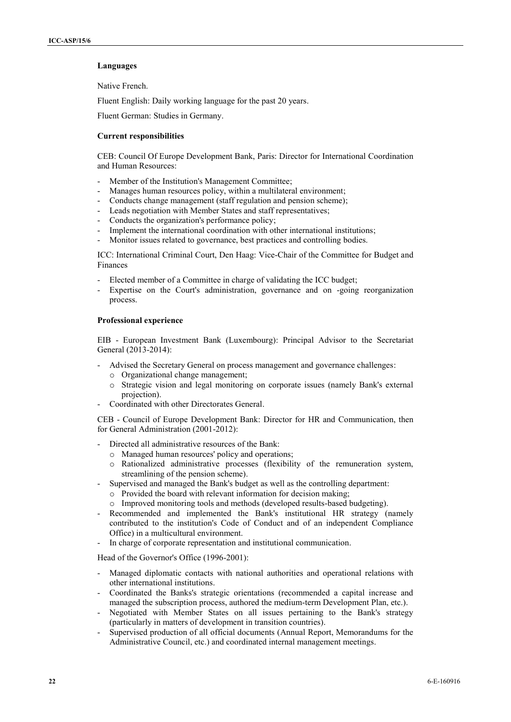### **Languages**

Native French.

Fluent English: Daily working language for the past 20 years.

Fluent German: Studies in Germany.

#### **Current responsibilities**

CEB: Council Of Europe Development Bank, Paris: Director for International Coordination and Human Resources:

- Member of the Institution's Management Committee;
- Manages human resources policy, within a multilateral environment;
- Conducts change management (staff regulation and pension scheme);
- Leads negotiation with Member States and staff representatives;
- Conducts the organization's performance policy;
- Implement the international coordination with other international institutions;
- Monitor issues related to governance, best practices and controlling bodies.

ICC: International Criminal Court, Den Haag: Vice-Chair of the Committee for Budget and Finances

- Elected member of a Committee in charge of validating the ICC budget;
- Expertise on the Court's administration, governance and on -going reorganization process.

#### **Professional experience**

EIB - European Investment Bank (Luxembourg): Principal Advisor to the Secretariat General (2013-2014):

- Advised the Secretary General on process management and governance challenges:
	- o Organizational change management;
	- o Strategic vision and legal monitoring on corporate issues (namely Bank's external projection).
- Coordinated with other Directorates General.

CEB - Council of Europe Development Bank: Director for HR and Communication, then for General Administration (2001-2012):

- Directed all administrative resources of the Bank:
	- o Managed human resources' policy and operations;
	- o Rationalized administrative processes (flexibility of the remuneration system, streamlining of the pension scheme).
- Supervised and managed the Bank's budget as well as the controlling department:
	-
	- o Provided the board with relevant information for decision making;<br>
	o Improved monitoring tools and methods (developed results-based budgeting).
- Recommended and implemented the Bank's institutional HR strategy (namely contributed to the institution's Code of Conduct and of an independent Compliance Office) in a multicultural environment.
- In charge of corporate representation and institutional communication.

Head of the Governor's Office (1996-2001):

- Managed diplomatic contacts with national authorities and operational relations with other international institutions.
- Coordinated the Banks's strategic orientations (recommended a capital increase and managed the subscription process, authored the medium-term Development Plan, etc.).
- Negotiated with Member States on all issues pertaining to the Bank's strategy (particularly in matters of development in transition countries).
- Supervised production of all official documents (Annual Report, Memorandums for the Administrative Council, etc.) and coordinated internal management meetings.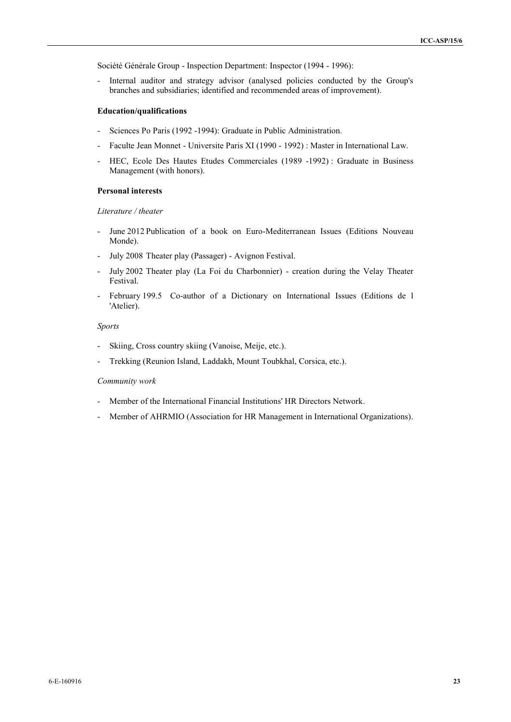Société Générale Group - Inspection Department: Inspector (1994 - 1996):

- Internal auditor and strategy advisor (analysed policies conducted by the Group's branches and subsidiaries; identified and recommended areas of improvement).

## **Education/qualifications**

- Sciences Po Paris (1992 -1994): Graduate in Public Administration.
- Faculte Jean Monnet Universite Paris XI (1990 1992) : Master in International Law.
- HEC, Ecole Des Hautes Etudes Commerciales (1989 -1992) : Graduate in Business Management (with honors).

### **Personal interests**

### *Literature / theater*

- June 2012 Publication of a book on Euro-Mediterranean Issues (Editions Nouveau Monde).
- July 2008 Theater play (Passager) Avignon Festival.
- July 2002 Theater play (La Foi du Charbonnier) creation during the Velay Theater Festival.
- February 199.5 Co-author of a Dictionary on International Issues (Editions de l 'Atelier).

### *Sports*

- Skiing, Cross country skiing (Vanoise, Meije, etc.).
- Trekking (Reunion Island, Laddakh, Mount Toubkhal, Corsica, etc.).

### *Community work*

- Member of the International Financial Institutions' HR Directors Network.
- Member of AHRMIO (Association for HR Management in International Organizations).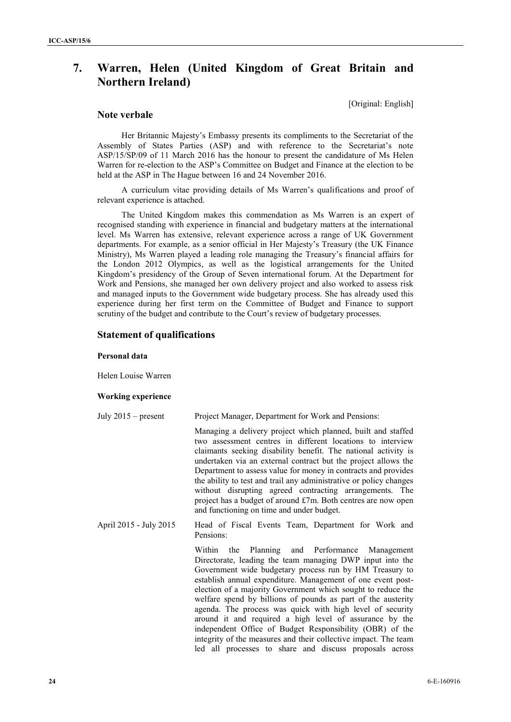# **7. Warren, Helen (United Kingdom of Great Britain and Northern Ireland)**

[Original: English]

## **Note verbale**

Her Britannic Majesty's Embassy presents its compliments to the Secretariat of the Assembly of States Parties (ASP) and with reference to the Secretariat's note ASP/15/SP/09 of 11 March 2016 has the honour to present the candidature of Ms Helen Warren for re-election to the ASP's Committee on Budget and Finance at the election to be held at the ASP in The Hague between 16 and 24 November 2016.

A curriculum vitae providing details of Ms Warren's qualifications and proof of relevant experience is attached.

The United Kingdom makes this commendation as Ms Warren is an expert of recognised standing with experience in financial and budgetary matters at the international level. Ms Warren has extensive, relevant experience across a range of UK Government departments. For example, as a senior official in Her Majesty's Treasury (the UK Finance Ministry), Ms Warren played a leading role managing the Treasury's financial affairs for the London 2012 Olympics, as well as the logistical arrangements for the United Kingdom's presidency of the Group of Seven international forum. At the Department for Work and Pensions, she managed her own delivery project and also worked to assess risk and managed inputs to the Government wide budgetary process. She has already used this experience during her first term on the Committee of Budget and Finance to support scrutiny of the budget and contribute to the Court's review of budgetary processes.

## **Statement of qualifications**

#### **Personal data**

Helen Louise Warren

#### **Working experience**

| July $2015$ – present  | Project Manager, Department for Work and Pensions:                                                                                                                                                                                                                                                                                                                                                                                                                                                                                                                              |
|------------------------|---------------------------------------------------------------------------------------------------------------------------------------------------------------------------------------------------------------------------------------------------------------------------------------------------------------------------------------------------------------------------------------------------------------------------------------------------------------------------------------------------------------------------------------------------------------------------------|
|                        | Managing a delivery project which planned, built and staffed<br>two assessment centres in different locations to interview<br>claimants seeking disability benefit. The national activity is<br>undertaken via an external contract but the project allows the<br>Department to assess value for money in contracts and provides<br>the ability to test and trail any administrative or policy changes<br>without disrupting agreed contracting arrangements. The<br>project has a budget of around £7m. Both centres are now open<br>and functioning on time and under budget. |
| April 2015 - July 2015 | Head of Fiscal Events Team, Department for Work and<br>Pensions:                                                                                                                                                                                                                                                                                                                                                                                                                                                                                                                |
|                        | the Planning and Performance Management<br>Within<br>Directorate, leading the team managing DWP input into the<br>Government wide budgetary process run by HM Treasury to<br>establish annual expenditure. Management of one event post-<br>election of a majority Government which sought to reduce the<br>welfare spend by billions of pounds as part of the austerity                                                                                                                                                                                                        |

agenda. The process was quick with high level of security around it and required a high level of assurance by the independent Office of Budget Responsibility (OBR) of the integrity of the measures and their collective impact. The team led all processes to share and discuss proposals across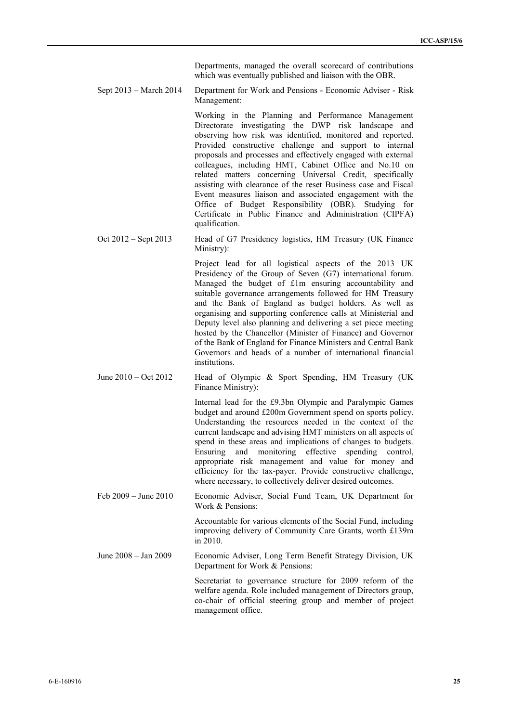Departments, managed the overall scorecard of contributions which was eventually published and liaison with the OBR.

Sept 2013 – March 2014 Department for Work and Pensions - Economic Adviser - Risk Management:

> Working in the Planning and Performance Management Directorate investigating the DWP risk landscape and observing how risk was identified, monitored and reported. Provided constructive challenge and support to internal proposals and processes and effectively engaged with external colleagues, including HMT, Cabinet Office and No.10 on related matters concerning Universal Credit, specifically assisting with clearance of the reset Business case and Fiscal Event measures liaison and associated engagement with the Office of Budget Responsibility (OBR). Studying for Certificate in Public Finance and Administration (CIPFA) qualification.

Oct 2012 – Sept 2013 Head of G7 Presidency logistics, HM Treasury (UK Finance Ministry):

> Project lead for all logistical aspects of the 2013 UK Presidency of the Group of Seven (G7) international forum. Managed the budget of £1m ensuring accountability and suitable governance arrangements followed for HM Treasury and the Bank of England as budget holders. As well as organising and supporting conference calls at Ministerial and Deputy level also planning and delivering a set piece meeting hosted by the Chancellor (Minister of Finance) and Governor of the Bank of England for Finance Ministers and Central Bank Governors and heads of a number of international financial institutions.

June 2010 – Oct 2012 Head of Olympic & Sport Spending, HM Treasury (UK Finance Ministry):

> Internal lead for the £9.3bn Olympic and Paralympic Games budget and around £200m Government spend on sports policy. Understanding the resources needed in the context of the current landscape and advising HMT ministers on all aspects of spend in these areas and implications of changes to budgets. Ensuring and monitoring effective spending control, appropriate risk management and value for money and efficiency for the tax-payer. Provide constructive challenge, where necessary, to collectively deliver desired outcomes.

Feb 2009 – June 2010 Economic Adviser, Social Fund Team, UK Department for Work & Pensions:

> Accountable for various elements of the Social Fund, including improving delivery of Community Care Grants, worth £139m in 2010.

June 2008 – Jan 2009 Economic Adviser, Long Term Benefit Strategy Division, UK Department for Work & Pensions:

> Secretariat to governance structure for 2009 reform of the welfare agenda. Role included management of Directors group, co-chair of official steering group and member of project management office.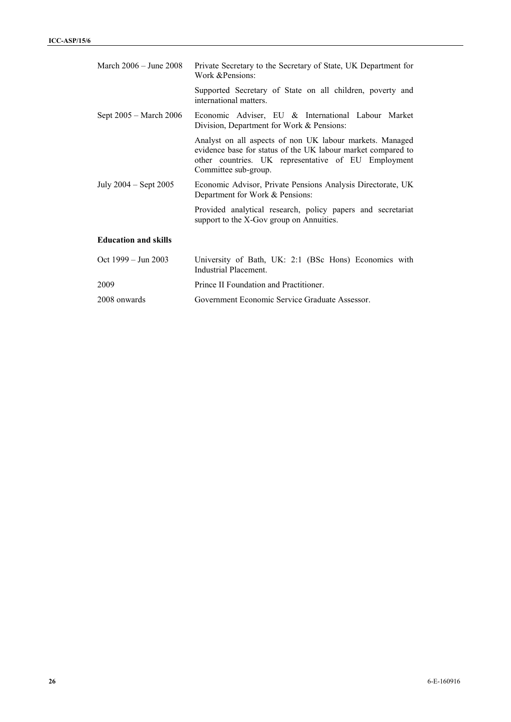| March $2006 -$ June $2008$    | Private Secretary to the Secretary of State, UK Department for<br>Work & Pensions:                                                                                                                      |
|-------------------------------|---------------------------------------------------------------------------------------------------------------------------------------------------------------------------------------------------------|
|                               | Supported Secretary of State on all children, poverty and<br>international matters.                                                                                                                     |
| Sept 2005 – March 2006        | Economic Adviser, EU & International Labour Market<br>Division, Department for Work & Pensions:                                                                                                         |
|                               | Analyst on all aspects of non UK labour markets. Managed<br>evidence base for status of the UK labour market compared to<br>other countries. UK representative of EU Employment<br>Committee sub-group. |
| July $2004 -$ Sept $2005$     | Economic Advisor, Private Pensions Analysis Directorate, UK<br>Department for Work & Pensions:                                                                                                          |
|                               | Provided analytical research, policy papers and secretariat<br>support to the X-Gov group on Annuities.                                                                                                 |
| <b>Education and skills</b>   |                                                                                                                                                                                                         |
| Oct $1999 - \text{Jun } 2003$ | University of Bath, UK: 2:1 (BSc Hons) Economics with<br>Industrial Placement.                                                                                                                          |
| 2009                          | Prince II Foundation and Practitioner.                                                                                                                                                                  |
| 2008 onwards                  | Government Economic Service Graduate Assessor.                                                                                                                                                          |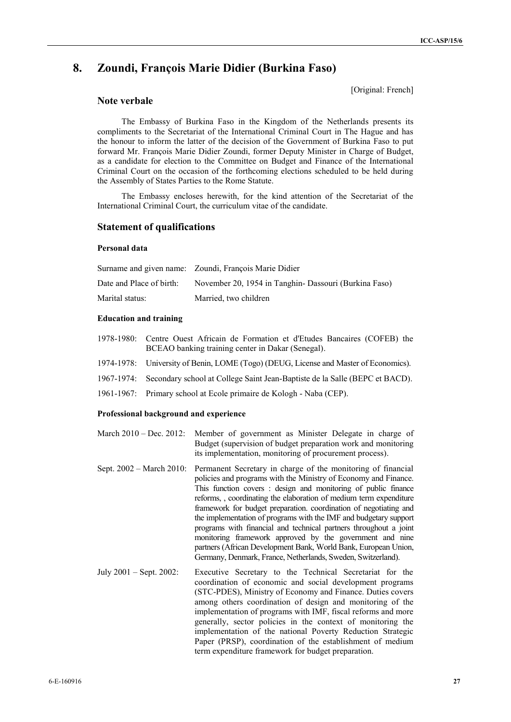[Original: French]

# **8. Zoundi, François Marie Didier (Burkina Faso)**

## **Note verbale**

The Embassy of Burkina Faso in the Kingdom of the Netherlands presents its compliments to the Secretariat of the International Criminal Court in The Hague and has the honour to inform the latter of the decision of the Government of Burkina Faso to put forward Mr. François Marie Didier Zoundi, former Deputy Minister in Charge of Budget, as a candidate for election to the Committee on Budget and Finance of the International Criminal Court on the occasion of the forthcoming elections scheduled to be held during the Assembly of States Parties to the Rome Statute.

The Embassy encloses herewith, for the kind attention of the Secretariat of the International Criminal Court, the curriculum vitae of the candidate.

## **Statement of qualifications**

### **Personal data**

|                          | Surname and given name: Zoundi, François Marie Didier |
|--------------------------|-------------------------------------------------------|
| Date and Place of birth: | November 20, 1954 in Tanghin-Dassouri (Burkina Faso)  |
| Marital status:          | Married, two children                                 |

#### **Education and training**

- 1978-1980: Centre Ouest Africain de Formation et d'Etudes Bancaires (COFEB) the BCEAO banking training center in Dakar (Senegal).
- 1974-1978: University of Benin, LOME (Togo) (DEUG, License and Master of Economics).
- 1967-1974: Secondary school at College Saint Jean-Baptiste de la Salle (BEPC et BACD).
- 1961-1967: Primary school at Ecole primaire de Kologh Naba (CEP).

#### **Professional background and experience**

- March 2010 Dec. 2012: Member of government as Minister Delegate in charge of Budget (supervision of budget preparation work and monitoring its implementation, monitoring of procurement process).
- Sept. 2002 March 2010: Permanent Secretary in charge of the monitoring of financial policies and programs with the Ministry of Economy and Finance. This function covers : design and monitoring of public finance reforms, , coordinating the elaboration of medium term expenditure framework for budget preparation. coordination of negotiating and the implementation of programs with the IMF and budgetary support programs with financial and technical partners throughout a joint monitoring framework approved by the government and nine partners (African Development Bank, World Bank, European Union, Germany, Denmark, France, Netherlands, Sweden, Switzerland).
- July 2001 Sept. 2002: Executive Secretary to the Technical Secretariat for the coordination of economic and social development programs (STC-PDES), Ministry of Economy and Finance. Duties covers among others coordination of design and monitoring of the implementation of programs with IMF, fiscal reforms and more generally, sector policies in the context of monitoring the implementation of the national Poverty Reduction Strategic Paper (PRSP), coordination of the establishment of medium term expenditure framework for budget preparation.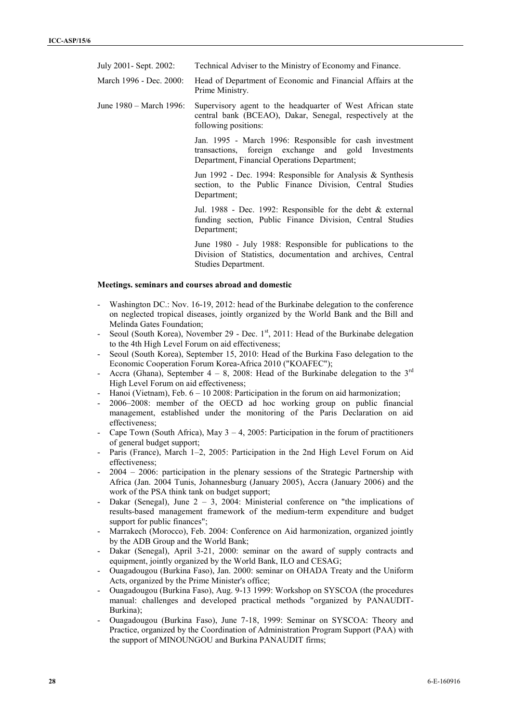July 2001- Sept. 2002: Technical Adviser to the Ministry of Economy and Finance.

March 1996 - Dec. 2000: Head of Department of Economic and Financial Affairs at the Prime Ministry.

June 1980 – March 1996: Supervisory agent to the headquarter of West African state central bank (BCEAO), Dakar, Senegal, respectively at the following positions:

> Jan. 1995 - March 1996: Responsible for cash investment transactions, foreign exchange and gold Investments Department, Financial Operations Department;

> Jun 1992 - Dec. 1994: Responsible for Analysis & Synthesis section, to the Public Finance Division, Central Studies Department;

> Jul. 1988 - Dec. 1992: Responsible for the debt & external funding section, Public Finance Division, Central Studies Department;

> June 1980 - July 1988: Responsible for publications to the Division of Statistics, documentation and archives, Central Studies Department.

#### **Meetings. seminars and courses abroad and domestic**

- Washington DC.: Nov. 16-19, 2012: head of the Burkinabe delegation to the conference on neglected tropical diseases, jointly organized by the World Bank and the Bill and Melinda Gates Foundation;
- Seoul (South Korea), November 29 Dec.  $1<sup>st</sup>$ , 2011: Head of the Burkinabe delegation to the 4th High Level Forum on aid effectiveness;
- Seoul (South Korea), September 15, 2010: Head of the Burkina Faso delegation to the Economic Cooperation Forum Korea-Africa 2010 ("KOAFEC");
- Accra (Ghana), September 4 8, 2008: Head of the Burkinabe delegation to the  $3<sup>rd</sup>$ High Level Forum on aid effectiveness;
- Hanoi (Vietnam), Feb.  $6 10 2008$ : Participation in the forum on aid harmonization;
- 2006–2008: member of the OECD ad hoc working group on public financial management, established under the monitoring of the Paris Declaration on aid effectiveness;
- Cape Town (South Africa), May  $3 4$ , 2005: Participation in the forum of practitioners of general budget support;
- Paris (France), March 1–2, 2005: Participation in the 2nd High Level Forum on Aid effectiveness;
- 2004 2006: participation in the plenary sessions of the Strategic Partnership with Africa (Jan. 2004 Tunis, Johannesburg (January 2005), Accra (January 2006) and the work of the PSA think tank on budget support;
- Dakar (Senegal), June  $2 3$ , 2004: Ministerial conference on "the implications of results-based management framework of the medium-term expenditure and budget support for public finances";
- Marrakech (Morocco), Feb. 2004: Conference on Aid harmonization, organized jointly by the ADB Group and the World Bank;
- Dakar (Senegal), April 3-21, 2000: seminar on the award of supply contracts and equipment, jointly organized by the World Bank, ILO and CESAG;
- Ouagadougou (Burkina Faso), Jan. 2000: seminar on OHADA Treaty and the Uniform Acts, organized by the Prime Minister's office;
- Ouagadougou (Burkina Faso), Aug. 9-13 1999: Workshop on SYSCOA (the procedures manual: challenges and developed practical methods "organized by PANAUDIT- Burkina);
- Ouagadougou (Burkina Faso), June 7-18, 1999: Seminar on SYSCOA: Theory and Practice, organized by the Coordination of Administration Program Support (PAA) with the support of MINOUNGOU and Burkina PANAUDIT firms;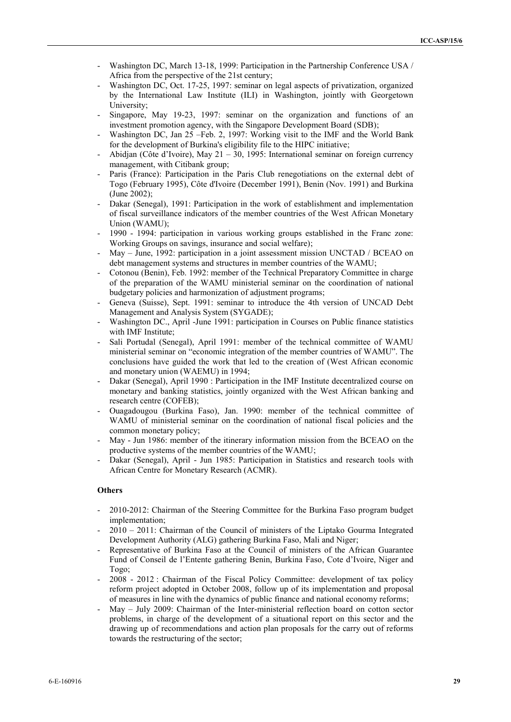- Washington DC, March 13-18, 1999: Participation in the Partnership Conference USA / Africa from the perspective of the 21st century;
- Washington DC, Oct. 17-25, 1997: seminar on legal aspects of privatization, organized by the International Law Institute (ILI) in Washington, jointly with Georgetown University;
- Singapore, May 19-23, 1997: seminar on the organization and functions of an investment promotion agency, with the Singapore Development Board (SDB);
- Washington DC, Jan 25 –Feb. 2, 1997: Working visit to the IMF and the World Bank for the development of Burkina's eligibility file to the HIPC initiative;
- Abidjan (Côte d'Ivoire), May 21 30, 1995: International seminar on foreign currency management, with Citibank group;
- Paris (France): Participation in the Paris Club renegotiations on the external debt of Togo (February 1995), Côte d'Ivoire (December 1991), Benin (Nov. 1991) and Burkina (June 2002);
- Dakar (Senegal), 1991: Participation in the work of establishment and implementation of fiscal surveillance indicators of the member countries of the West African Monetary Union (WAMU);
- 1990 1994: participation in various working groups established in the Franc zone: Working Groups on savings, insurance and social welfare);
- May June, 1992: participation in a joint assessment mission UNCTAD / BCEAO on debt management systems and structures in member countries of the WAMU;
- Cotonou (Benin), Feb. 1992: member of the Technical Preparatory Committee in charge of the preparation of the WAMU ministerial seminar on the coordination of national budgetary policies and harmonization of adjustment programs;
- Geneva (Suisse), Sept. 1991: seminar to introduce the 4th version of UNCAD Debt Management and Analysis System (SYGADE);
- Washington DC., April -June 1991: participation in Courses on Public finance statistics with IMF Institute;
- Sali Portudal (Senegal), April 1991: member of the technical committee of WAMU ministerial seminar on "economic integration of the member countries of WAMU". The conclusions have guided the work that led to the creation of (West African economic and monetary union (WAEMU) in 1994;
- Dakar (Senegal), April 1990 : Participation in the IMF Institute decentralized course on monetary and banking statistics, jointly organized with the West African banking and research centre (COFEB);
- Ouagadougou (Burkina Faso), Jan. 1990: member of the technical committee of WAMU of ministerial seminar on the coordination of national fiscal policies and the common monetary policy;
- May Jun 1986: member of the itinerary information mission from the BCEAO on the productive systems of the member countries of the WAMU;
- Dakar (Senegal), April Jun 1985: Participation in Statistics and research tools with African Centre for Monetary Research (ACMR).

## **Others**

- 2010-2012: Chairman of the Steering Committee for the Burkina Faso program budget implementation;
- 2010 2011: Chairman of the Council of ministers of the Liptako Gourma Integrated Development Authority (ALG) gathering Burkina Faso, Mali and Niger;
- Representative of Burkina Faso at the Council of ministers of the African Guarantee Fund of Conseil de l'Entente gathering Benin, Burkina Faso, Cote d'Ivoire, Niger and Togo;
- 2008 2012 : Chairman of the Fiscal Policy Committee: development of tax policy reform project adopted in October 2008, follow up of its implementation and proposal of measures in line with the dynamics of public finance and national economy reforms;
- May July 2009: Chairman of the Inter-ministerial reflection board on cotton sector problems, in charge of the development of a situational report on this sector and the drawing up of recommendations and action plan proposals for the carry out of reforms towards the restructuring of the sector;